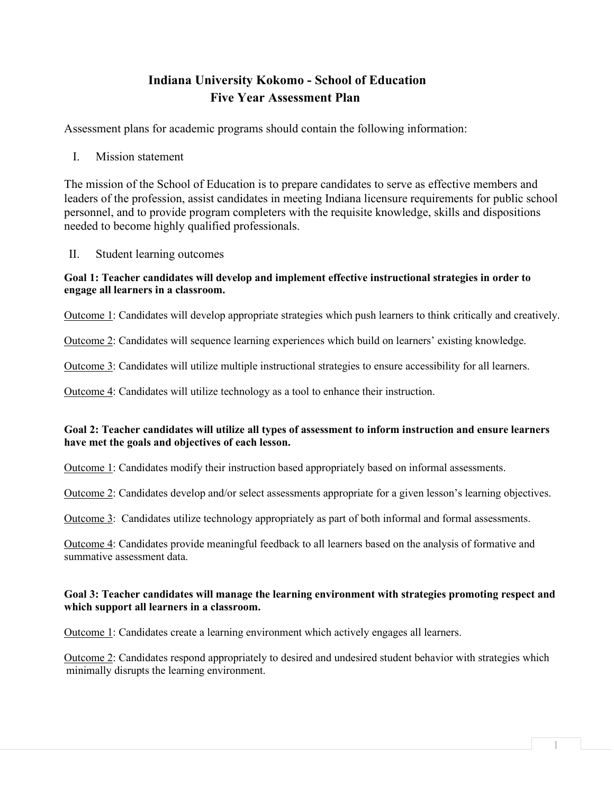# **Indiana University Kokomo - School of Education Five Year Assessment Plan**

Assessment plans for academic programs should contain the following information:

I. Mission statement

The mission of the School of Education is to prepare candidates to serve as effective members and leaders of the profession, assist candidates in meeting Indiana licensure requirements for public school personnel, and to provide program completers with the requisite knowledge, skills and dispositions needed to become highly qualified professionals.

II. Student learning outcomes

## **Goal 1: Teacher candidates will develop and implement effective instructional strategies in order to engage all learners in a classroom.**

Outcome 1: Candidates will develop appropriate strategies which push learners to think critically and creatively.

Outcome 2: Candidates will sequence learning experiences which build on learners' existing knowledge.

Outcome 3: Candidates will utilize multiple instructional strategies to ensure accessibility for all learners.

Outcome 4: Candidates will utilize technology as a tool to enhance their instruction.

## **Goal 2: Teacher candidates will utilize all types of assessment to inform instruction and ensure learners have met the goals and objectives of each lesson.**

Outcome 1: Candidates modify their instruction based appropriately based on informal assessments.

Outcome 2: Candidates develop and/or select assessments appropriate for a given lesson's learning objectives.

Outcome 3: Candidates utilize technology appropriately as part of both informal and formal assessments.

Outcome 4: Candidates provide meaningful feedback to all learners based on the analysis of formative and summative assessment data.

### **Goal 3: Teacher candidates will manage the learning environment with strategies promoting respect and which support all learners in a classroom.**

Outcome 1: Candidates create a learning environment which actively engages all learners.

Outcome 2: Candidates respond appropriately to desired and undesired student behavior with strategies which minimally disrupts the learning environment.